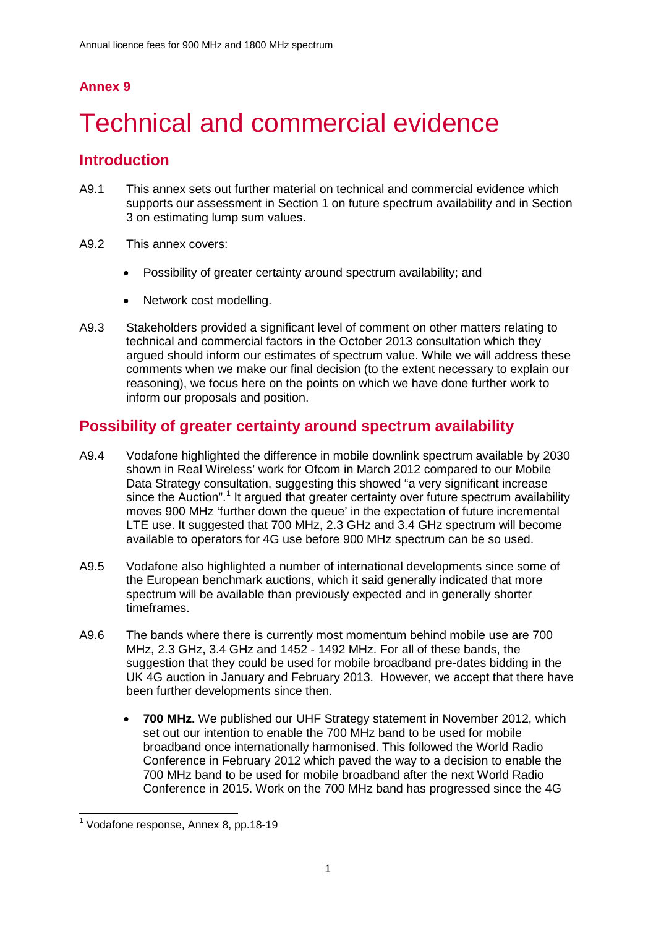# **Annex 9**

# Technical and commercial evidence

# **Introduction**

- A9.1 This annex sets out further material on technical and commercial evidence which supports our assessment in Section 1 on future spectrum availability and in Section 3 on estimating lump sum values.
- A9.2 This annex covers:
	- Possibility of greater certainty around spectrum availability; and
	- Network cost modelling.
- A9.3 Stakeholders provided a significant level of comment on other matters relating to technical and commercial factors in the October 2013 consultation which they argued should inform our estimates of spectrum value. While we will address these comments when we make our final decision (to the extent necessary to explain our reasoning), we focus here on the points on which we have done further work to inform our proposals and position.

# **Possibility of greater certainty around spectrum availability**

- A9.4 Vodafone highlighted the difference in mobile downlink spectrum available by 2030 shown in Real Wireless' work for Ofcom in March 2012 compared to our Mobile Data Strategy consultation, suggesting this showed "a very significant increase since the Auction". [1](#page-0-0) It argued that greater certainty over future spectrum availability moves 900 MHz 'further down the queue' in the expectation of future incremental LTE use. It suggested that 700 MHz, 2.3 GHz and 3.4 GHz spectrum will become available to operators for 4G use before 900 MHz spectrum can be so used.
- A9.5 Vodafone also highlighted a number of international developments since some of the European benchmark auctions, which it said generally indicated that more spectrum will be available than previously expected and in generally shorter timeframes.
- A9.6 The bands where there is currently most momentum behind mobile use are 700 MHz, 2.3 GHz, 3.4 GHz and 1452 - 1492 MHz. For all of these bands, the suggestion that they could be used for mobile broadband pre-dates bidding in the UK 4G auction in January and February 2013. However, we accept that there have been further developments since then.
	- **700 MHz.** We published our UHF Strategy statement in November 2012, which set out our intention to enable the 700 MHz band to be used for mobile broadband once internationally harmonised. This followed the World Radio Conference in February 2012 which paved the way to a decision to enable the 700 MHz band to be used for mobile broadband after the next World Radio Conference in 2015. Work on the 700 MHz band has progressed since the 4G

<span id="page-0-0"></span><sup>&</sup>lt;sup>1</sup> Vodafone response, Annex 8, pp.18-19  $\overline{a}$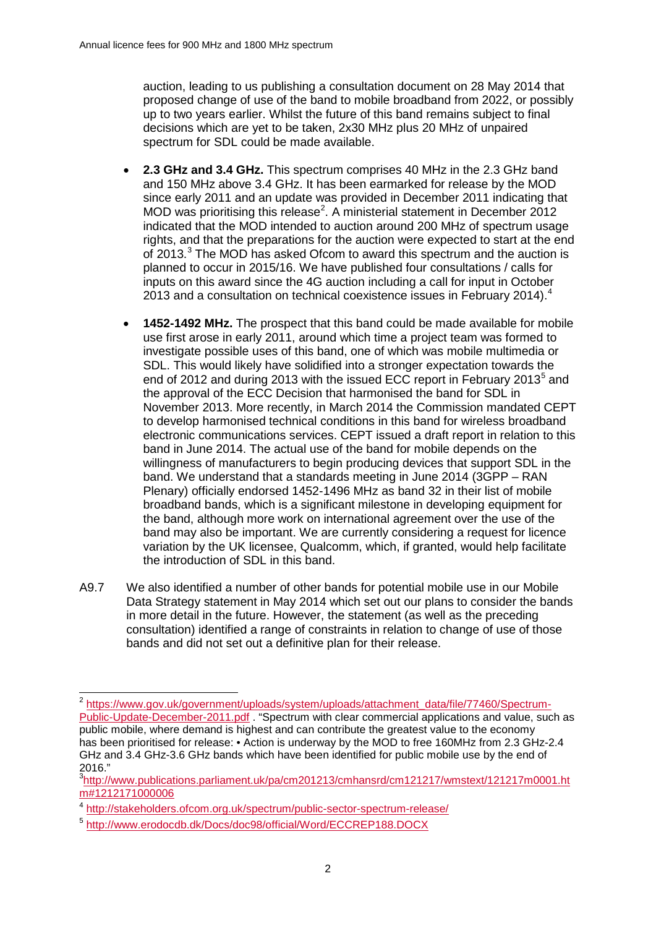auction, leading to us publishing a consultation document on 28 May 2014 that proposed change of use of the band to mobile broadband from 2022, or possibly up to two years earlier. Whilst the future of this band remains subject to final decisions which are yet to be taken, 2x30 MHz plus 20 MHz of unpaired spectrum for SDL could be made available.

- **2.3 GHz and 3.4 GHz.** This spectrum comprises 40 MHz in the 2.3 GHz band and 150 MHz above 3.4 GHz. It has been earmarked for release by the MOD since early 2011 and an update was provided in December 2011 indicating that MOD was prioritising this release<sup>[2](#page-1-0)</sup>. A ministerial statement in December 2012 indicated that the MOD intended to auction around 200 MHz of spectrum usage rights, and that the preparations for the auction were expected to start at the end of 201[3](#page-1-1).<sup>3</sup> The MOD has asked Ofcom to award this spectrum and the auction is planned to occur in 2015/16. We have published four consultations / calls for inputs on this award since the 4G auction including a call for input in October 2013 and a consultation on technical coexistence issues in February 201[4](#page-1-2)).<sup>4</sup>
- **1452-1492 MHz.** The prospect that this band could be made available for mobile use first arose in early 2011, around which time a project team was formed to investigate possible uses of this band, one of which was mobile multimedia or SDL. This would likely have solidified into a stronger expectation towards the end of 2012 and during 2013 with the issued ECC report in February 2013<sup>[5](#page-1-3)</sup> and the approval of the ECC Decision that harmonised the band for SDL in November 2013. More recently, in March 2014 the Commission mandated CEPT to develop harmonised technical conditions in this band for wireless broadband electronic communications services. CEPT issued a draft report in relation to this band in June 2014. The actual use of the band for mobile depends on the willingness of manufacturers to begin producing devices that support SDL in the band. We understand that a standards meeting in June 2014 (3GPP – RAN Plenary) officially endorsed 1452-1496 MHz as band 32 in their list of mobile broadband bands, which is a significant milestone in developing equipment for the band, although more work on international agreement over the use of the band may also be important. We are currently considering a request for licence variation by the UK licensee, Qualcomm, which, if granted, would help facilitate the introduction of SDL in this band.
- A9.7 We also identified a number of other bands for potential mobile use in our Mobile Data Strategy statement in May 2014 which set out our plans to consider the bands in more detail in the future. However, the statement (as well as the preceding consultation) identified a range of constraints in relation to change of use of those bands and did not set out a definitive plan for their release.

<span id="page-1-0"></span><sup>&</sup>lt;sup>2</sup> [https://www.gov.uk/government/uploads/system/uploads/attachment\\_data/file/77460/Spectrum-](https://www.gov.uk/government/uploads/system/uploads/attachment_data/file/77460/Spectrum-Public-Update-December-2011.pdf)[Public-Update-December-2011.pdf](https://www.gov.uk/government/uploads/system/uploads/attachment_data/file/77460/Spectrum-Public-Update-December-2011.pdf) . "Spectrum with clear commercial applications and value, such as public mobile, where demand is highest and can contribute the greatest value to the economy has been prioritised for release: • Action is underway by the MOD to free 160MHz from 2.3 GHz-2.4 GHz and 3.4 GHz-3.6 GHz bands which have been identified for public mobile use by the end of 2016."  $\overline{a}$ 

<span id="page-1-1"></span><sup>3</sup> [http://www.publications.parliament.uk/pa/cm201213/cmhansrd/cm121217/wmstext/121217m0001.ht](http://www.publications.parliament.uk/pa/cm201213/cmhansrd/cm121217/wmstext/121217m0001.htm%231212171000006) [m#1212171000006](http://www.publications.parliament.uk/pa/cm201213/cmhansrd/cm121217/wmstext/121217m0001.htm%231212171000006)

<span id="page-1-2"></span><sup>4</sup> http://stakeholders.ofcom.org.uk/spectrum/public-sector-spectrum-release/

<span id="page-1-3"></span><sup>5</sup> <http://www.erodocdb.dk/Docs/doc98/official/Word/ECCREP188.DOCX>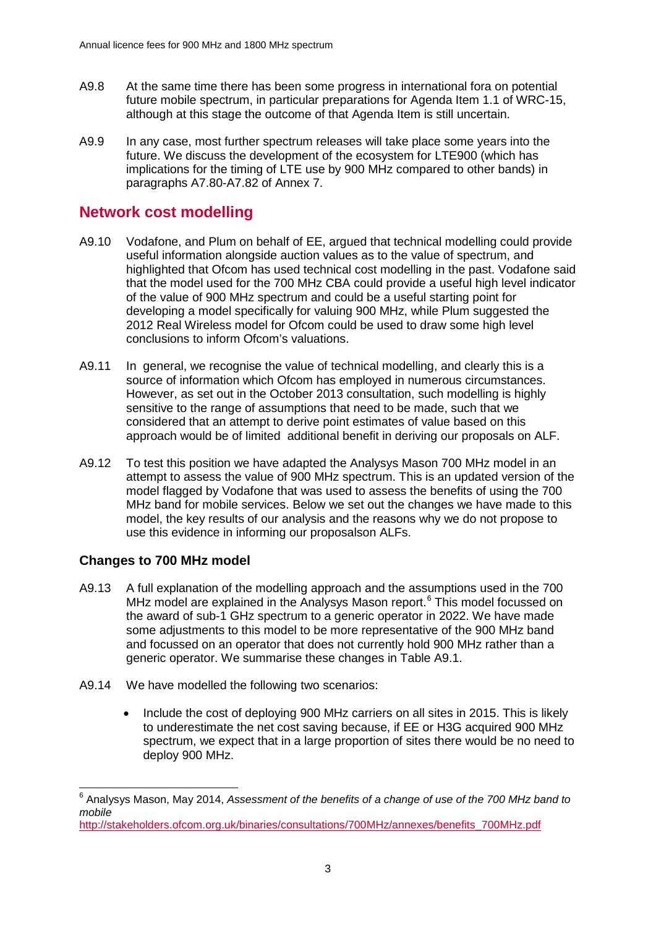- A9.8 At the same time there has been some progress in international fora on potential future mobile spectrum, in particular preparations for Agenda Item 1.1 of WRC-15, although at this stage the outcome of that Agenda Item is still uncertain.
- A9.9 In any case, most further spectrum releases will take place some years into the future. We discuss the development of the ecosystem for LTE900 (which has implications for the timing of LTE use by 900 MHz compared to other bands) in paragraphs A7.80-A7.82 of Annex 7.

# **Network cost modelling**

- A9.10 Vodafone, and Plum on behalf of EE, argued that technical modelling could provide useful information alongside auction values as to the value of spectrum, and highlighted that Ofcom has used technical cost modelling in the past. Vodafone said that the model used for the 700 MHz CBA could provide a useful high level indicator of the value of 900 MHz spectrum and could be a useful starting point for developing a model specifically for valuing 900 MHz, while Plum suggested the 2012 Real Wireless model for Ofcom could be used to draw some high level conclusions to inform Ofcom's valuations.
- A9.11 In general, we recognise the value of technical modelling, and clearly this is a source of information which Ofcom has employed in numerous circumstances. However, as set out in the October 2013 consultation, such modelling is highly sensitive to the range of assumptions that need to be made, such that we considered that an attempt to derive point estimates of value based on this approach would be of limited additional benefit in deriving our proposals on ALF.
- A9.12 To test this position we have adapted the Analysys Mason 700 MHz model in an attempt to assess the value of 900 MHz spectrum. This is an updated version of the model flagged by Vodafone that was used to assess the benefits of using the 700 MHz band for mobile services. Below we set out the changes we have made to this model, the key results of our analysis and the reasons why we do not propose to use this evidence in informing our proposalson ALFs.

# **Changes to 700 MHz model**

- A9.13 A full explanation of the modelling approach and the assumptions used in the 700 MHz model are explained in the Analysys Mason report.<sup>[6](#page-2-0)</sup> This model focussed on the award of sub-1 GHz spectrum to a generic operator in 2022. We have made some adjustments to this model to be more representative of the 900 MHz band and focussed on an operator that does not currently hold 900 MHz rather than a generic operator. We summarise these changes in Table A9.1.
- A9.14 We have modelled the following two scenarios:
	- Include the cost of deploying 900 MHz carriers on all sites in 2015. This is likely to underestimate the net cost saving because, if EE or H3G acquired 900 MHz spectrum, we expect that in a large proportion of sites there would be no need to deploy 900 MHz.

<span id="page-2-0"></span><sup>6</sup> Analysys Mason, May 2014, *Assessment of the benefits of a change of use of the 700 MHz band to mobile*   $\overline{a}$ 

[http://stakeholders.ofcom.org.uk/binaries/consultations/700MHz/annexes/benefits\\_700MHz.pdf](http://stakeholders.ofcom.org.uk/binaries/consultations/700MHz/annexes/benefits_700MHz.pdf)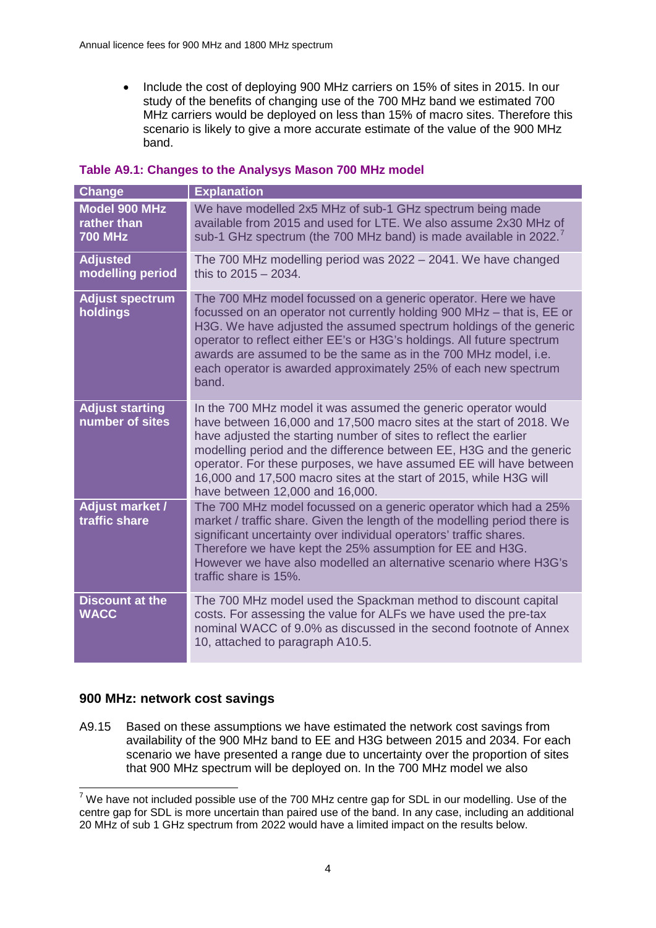• Include the cost of deploying 900 MHz carriers on 15% of sites in 2015. In our study of the benefits of changing use of the 700 MHz band we estimated 700 MHz carriers would be deployed on less than 15% of macro sites. Therefore this scenario is likely to give a more accurate estimate of the value of the 900 MHz band.

| Change                                                | <b>Explanation</b>                                                                                                                                                                                                                                                                                                                                                                                                                                               |
|-------------------------------------------------------|------------------------------------------------------------------------------------------------------------------------------------------------------------------------------------------------------------------------------------------------------------------------------------------------------------------------------------------------------------------------------------------------------------------------------------------------------------------|
| <b>Model 900 MHz</b><br>rather than<br><b>700 MHz</b> | We have modelled 2x5 MHz of sub-1 GHz spectrum being made<br>available from 2015 and used for LTE. We also assume 2x30 MHz of<br>sub-1 GHz spectrum (the 700 MHz band) is made available in 2022.                                                                                                                                                                                                                                                                |
| <b>Adjusted</b><br>modelling period                   | The 700 MHz modelling period was 2022 – 2041. We have changed<br>this to $2015 - 2034$ .                                                                                                                                                                                                                                                                                                                                                                         |
| <b>Adjust spectrum</b><br>holdings                    | The 700 MHz model focussed on a generic operator. Here we have<br>focussed on an operator not currently holding 900 MHz - that is, EE or<br>H3G. We have adjusted the assumed spectrum holdings of the generic<br>operator to reflect either EE's or H3G's holdings. All future spectrum<br>awards are assumed to be the same as in the 700 MHz model, i.e.<br>each operator is awarded approximately 25% of each new spectrum<br>band.                          |
| <b>Adjust starting</b><br>number of sites             | In the 700 MHz model it was assumed the generic operator would<br>have between 16,000 and 17,500 macro sites at the start of 2018. We<br>have adjusted the starting number of sites to reflect the earlier<br>modelling period and the difference between EE, H3G and the generic<br>operator. For these purposes, we have assumed EE will have between<br>16,000 and 17,500 macro sites at the start of 2015, while H3G will<br>have between 12,000 and 16,000. |
| <b>Adjust market /</b><br>traffic share               | The 700 MHz model focussed on a generic operator which had a 25%<br>market / traffic share. Given the length of the modelling period there is<br>significant uncertainty over individual operators' traffic shares.<br>Therefore we have kept the 25% assumption for EE and H3G.<br>However we have also modelled an alternative scenario where H3G's<br>traffic share is 15%.                                                                                   |
| <b>Discount at the</b><br><b>WACC</b>                 | The 700 MHz model used the Spackman method to discount capital<br>costs. For assessing the value for ALFs we have used the pre-tax<br>nominal WACC of 9.0% as discussed in the second footnote of Annex<br>10, attached to paragraph A10.5.                                                                                                                                                                                                                      |

## **900 MHz: network cost savings**

A9.15 Based on these assumptions we have estimated the network cost savings from availability of the 900 MHz band to EE and H3G between 2015 and 2034. For each scenario we have presented a range due to uncertainty over the proportion of sites that 900 MHz spectrum will be deployed on. In the 700 MHz model we also

<span id="page-3-0"></span> $7$  We have not included possible use of the 700 MHz centre gap for SDL in our modelling. Use of the centre gap for SDL is more uncertain than paired use of the band. In any case, including an additional 20 MHz of sub 1 GHz spectrum from 2022 would have a limited impact on the results below.  $\overline{a}$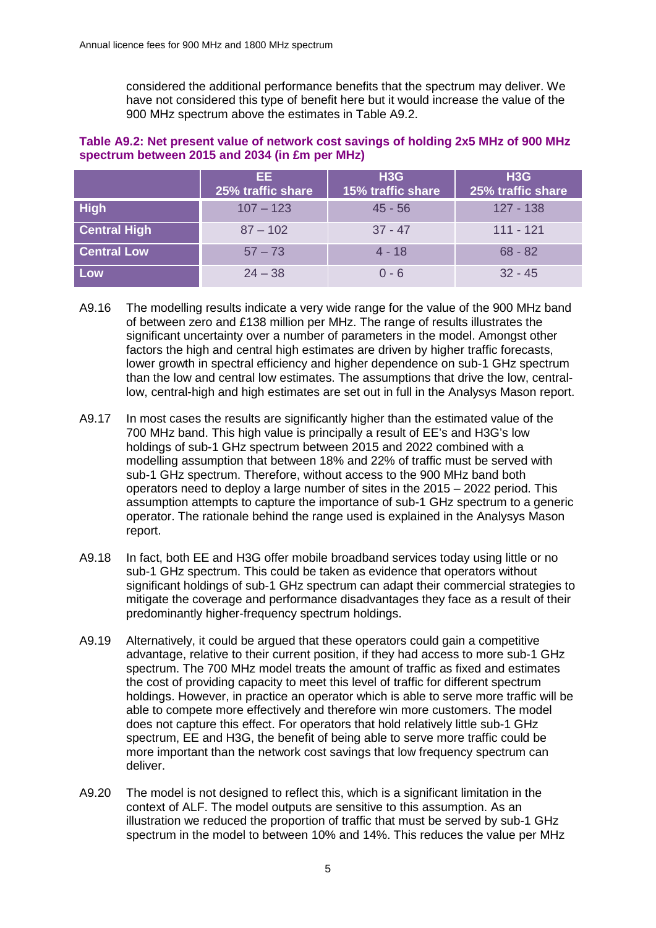considered the additional performance benefits that the spectrum may deliver. We have not considered this type of benefit here but it would increase the value of the 900 MHz spectrum above the estimates in Table A9.2.

## **Table A9.2: Net present value of network cost savings of holding 2x5 MHz of 900 MHz spectrum between 2015 and 2034 (in £m per MHz)**

|                     | EE.<br>25% traffic share | H3G<br>15% traffic share | H3G<br>25% traffic share |
|---------------------|--------------------------|--------------------------|--------------------------|
| <b>High</b>         | $107 - 123$              | $45 - 56$                | 127 - 138                |
| <b>Central High</b> | $87 - 102$               | $37 - 47$                | $111 - 121$              |
| <b>Central Low</b>  | $57 - 73$                | $4 - 18$                 | $68 - 82$                |
| Low                 | $24 - 38$                | $0 - 6$                  | $32 - 45$                |

- A9.16 The modelling results indicate a very wide range for the value of the 900 MHz band of between zero and £138 million per MHz. The range of results illustrates the significant uncertainty over a number of parameters in the model. Amongst other factors the high and central high estimates are driven by higher traffic forecasts, lower growth in spectral efficiency and higher dependence on sub-1 GHz spectrum than the low and central low estimates. The assumptions that drive the low, centrallow, central-high and high estimates are set out in full in the Analysys Mason report.
- A9.17 In most cases the results are significantly higher than the estimated value of the 700 MHz band. This high value is principally a result of EE's and H3G's low holdings of sub-1 GHz spectrum between 2015 and 2022 combined with a modelling assumption that between 18% and 22% of traffic must be served with sub-1 GHz spectrum. Therefore, without access to the 900 MHz band both operators need to deploy a large number of sites in the 2015 – 2022 period. This assumption attempts to capture the importance of sub-1 GHz spectrum to a generic operator. The rationale behind the range used is explained in the Analysys Mason report.
- A9.18 In fact, both EE and H3G offer mobile broadband services today using little or no sub-1 GHz spectrum. This could be taken as evidence that operators without significant holdings of sub-1 GHz spectrum can adapt their commercial strategies to mitigate the coverage and performance disadvantages they face as a result of their predominantly higher-frequency spectrum holdings.
- A9.19 Alternatively, it could be argued that these operators could gain a competitive advantage, relative to their current position, if they had access to more sub-1 GHz spectrum. The 700 MHz model treats the amount of traffic as fixed and estimates the cost of providing capacity to meet this level of traffic for different spectrum holdings. However, in practice an operator which is able to serve more traffic will be able to compete more effectively and therefore win more customers. The model does not capture this effect. For operators that hold relatively little sub-1 GHz spectrum, EE and H3G, the benefit of being able to serve more traffic could be more important than the network cost savings that low frequency spectrum can deliver.
- A9.20 The model is not designed to reflect this, which is a significant limitation in the context of ALF. The model outputs are sensitive to this assumption. As an illustration we reduced the proportion of traffic that must be served by sub-1 GHz spectrum in the model to between 10% and 14%. This reduces the value per MHz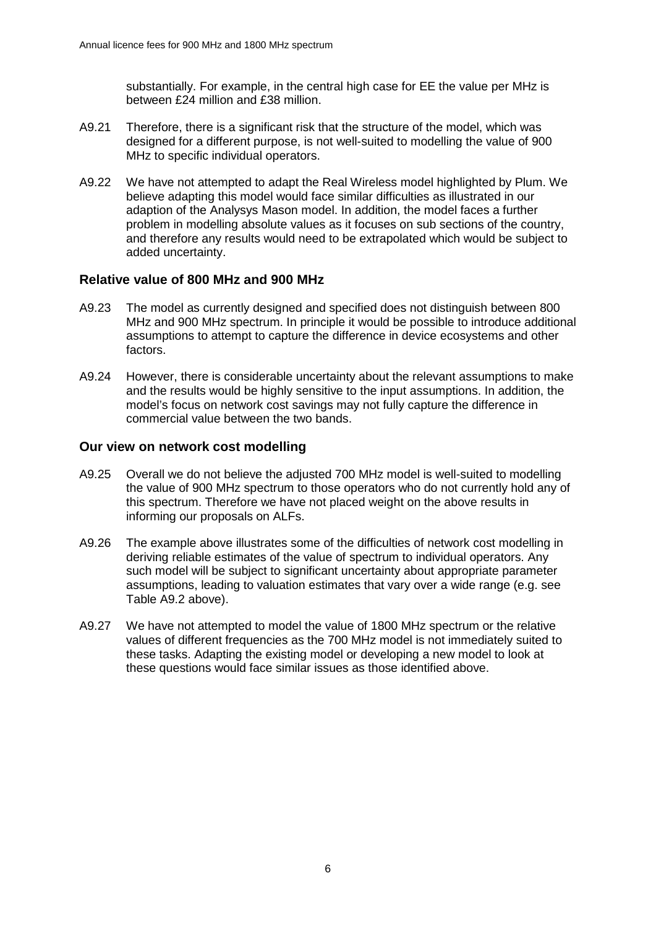substantially. For example, in the central high case for EE the value per MHz is between £24 million and £38 million.

- A9.21 Therefore, there is a significant risk that the structure of the model, which was designed for a different purpose, is not well-suited to modelling the value of 900 MHz to specific individual operators.
- A9.22 We have not attempted to adapt the Real Wireless model highlighted by Plum. We believe adapting this model would face similar difficulties as illustrated in our adaption of the Analysys Mason model. In addition, the model faces a further problem in modelling absolute values as it focuses on sub sections of the country, and therefore any results would need to be extrapolated which would be subject to added uncertainty.

## **Relative value of 800 MHz and 900 MHz**

- A9.23 The model as currently designed and specified does not distinguish between 800 MHz and 900 MHz spectrum. In principle it would be possible to introduce additional assumptions to attempt to capture the difference in device ecosystems and other factors.
- A9.24 However, there is considerable uncertainty about the relevant assumptions to make and the results would be highly sensitive to the input assumptions. In addition, the model's focus on network cost savings may not fully capture the difference in commercial value between the two bands.

## **Our view on network cost modelling**

- A9.25 Overall we do not believe the adjusted 700 MHz model is well-suited to modelling the value of 900 MHz spectrum to those operators who do not currently hold any of this spectrum. Therefore we have not placed weight on the above results in informing our proposals on ALFs.
- A9.26 The example above illustrates some of the difficulties of network cost modelling in deriving reliable estimates of the value of spectrum to individual operators. Any such model will be subject to significant uncertainty about appropriate parameter assumptions, leading to valuation estimates that vary over a wide range (e.g. see Table A9.2 above).
- A9.27 We have not attempted to model the value of 1800 MHz spectrum or the relative values of different frequencies as the 700 MHz model is not immediately suited to these tasks. Adapting the existing model or developing a new model to look at these questions would face similar issues as those identified above.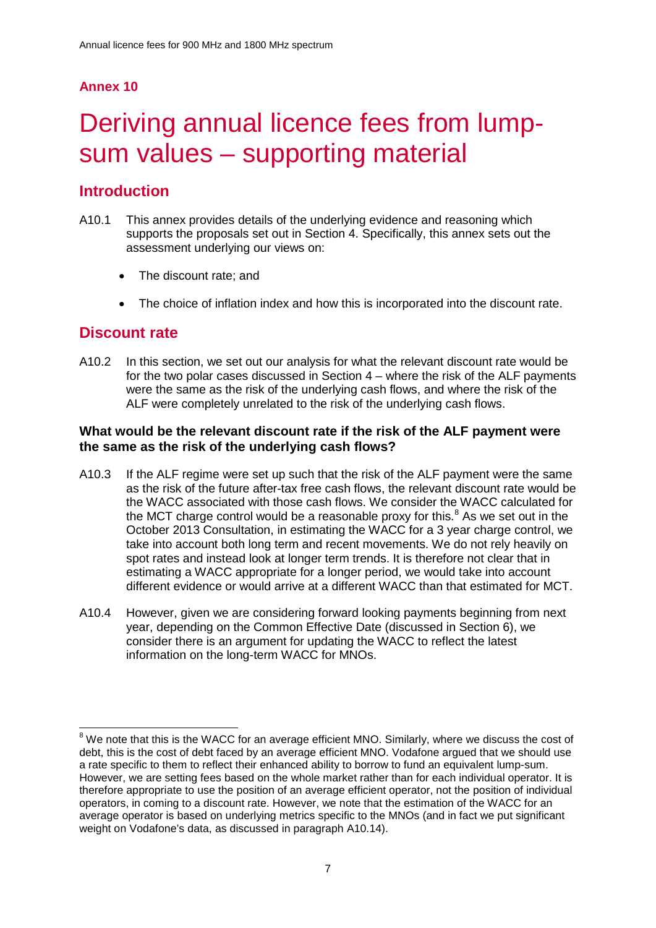# **Annex 10**

# Deriving annual licence fees from lumpsum values – supporting material

# **Introduction**

- A10.1 This annex provides details of the underlying evidence and reasoning which supports the proposals set out in Section 4. Specifically, this annex sets out the assessment underlying our views on:
	- The discount rate: and
	- The choice of inflation index and how this is incorporated into the discount rate.

# **Discount rate**

 $\overline{a}$ 

A10.2 In this section, we set out our analysis for what the relevant discount rate would be for the two polar cases discussed in Section 4 – where the risk of the ALF payments were the same as the risk of the underlying cash flows, and where the risk of the ALF were completely unrelated to the risk of the underlying cash flows.

## **What would be the relevant discount rate if the risk of the ALF payment were the same as the risk of the underlying cash flows?**

- A10.3 If the ALF regime were set up such that the risk of the ALF payment were the same as the risk of the future after-tax free cash flows, the relevant discount rate would be the WACC associated with those cash flows. We consider the WACC calculated for the MCT charge control would be a reasonable proxy for this. $8$  As we set out in the October 2013 Consultation, in estimating the WACC for a 3 year charge control, we take into account both long term and recent movements. We do not rely heavily on spot rates and instead look at longer term trends. It is therefore not clear that in estimating a WACC appropriate for a longer period, we would take into account different evidence or would arrive at a different WACC than that estimated for MCT.
- A10.4 However, given we are considering forward looking payments beginning from next year, depending on the Common Effective Date (discussed in Section 6), we consider there is an argument for updating the WACC to reflect the latest information on the long-term WACC for MNOs.

<span id="page-6-0"></span> $8$  We note that this is the WACC for an average efficient MNO. Similarly, where we discuss the cost of debt, this is the cost of debt faced by an average efficient MNO. Vodafone argued that we should use a rate specific to them to reflect their enhanced ability to borrow to fund an equivalent lump-sum. However, we are setting fees based on the whole market rather than for each individual operator. It is therefore appropriate to use the position of an average efficient operator, not the position of individual operators, in coming to a discount rate. However, we note that the estimation of the WACC for an average operator is based on underlying metrics specific to the MNOs (and in fact we put significant weight on Vodafone's data, as discussed in paragraph [A10.14\)](#page-9-0).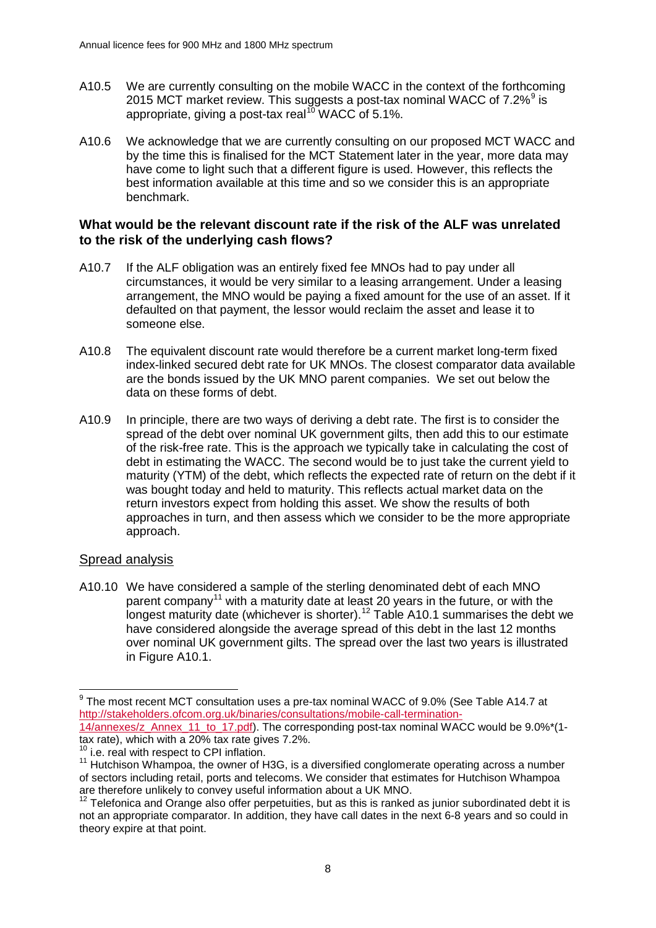- A10.5 We are currently consulting on the mobile WACC in the context of the forthcoming 2015 MCT market review. This suggests a post-tax nominal WACC of  $7.2\%$ <sup>[9](#page-7-0)</sup> is appropriate, giving a post-tax real<sup>[10](#page-7-1)</sup> WACC of 5.1%.
- A10.6 We acknowledge that we are currently consulting on our proposed MCT WACC and by the time this is finalised for the MCT Statement later in the year, more data may have come to light such that a different figure is used. However, this reflects the best information available at this time and so we consider this is an appropriate benchmark.

## **What would be the relevant discount rate if the risk of the ALF was unrelated to the risk of the underlying cash flows?**

- A10.7 If the ALF obligation was an entirely fixed fee MNOs had to pay under all circumstances, it would be very similar to a leasing arrangement. Under a leasing arrangement, the MNO would be paying a fixed amount for the use of an asset. If it defaulted on that payment, the lessor would reclaim the asset and lease it to someone else.
- A10.8 The equivalent discount rate would therefore be a current market long-term fixed index-linked secured debt rate for UK MNOs. The closest comparator data available are the bonds issued by the UK MNO parent companies. We set out below the data on these forms of debt.
- A10.9 In principle, there are two ways of deriving a debt rate. The first is to consider the spread of the debt over nominal UK government gilts, then add this to our estimate of the risk-free rate. This is the approach we typically take in calculating the cost of debt in estimating the WACC. The second would be to just take the current yield to maturity (YTM) of the debt, which reflects the expected rate of return on the debt if it was bought today and held to maturity. This reflects actual market data on the return investors expect from holding this asset. We show the results of both approaches in turn, and then assess which we consider to be the more appropriate approach.

## Spread analysis

A10.10 We have considered a sample of the sterling denominated debt of each MNO parent company<sup>[11](#page-7-2)</sup> with a maturity date at least 20 years in the future, or with the longest maturity date (whichever is shorter).[12](#page-7-3) [Table A10.1](#page-8-0) summarises the debt we have considered alongside the average spread of this debt in the last 12 months over nominal UK government gilts. The spread over the last two years is illustrated in [Figure A10.1.](#page-8-1)

<span id="page-7-0"></span> $^9$  The most recent MCT consultation uses a pre-tax nominal WACC of 9.0% (See Table A14.7 at [http://stakeholders.ofcom.org.uk/binaries/consultations/mobile-call-termination-](http://stakeholders.ofcom.org.uk/binaries/consultations/mobile-call-termination-14/annexes/z_Annex_11_to_17.pdf)[14/annexes/z\\_Annex\\_11\\_to\\_17.pdf\)](http://stakeholders.ofcom.org.uk/binaries/consultations/mobile-call-termination-14/annexes/z_Annex_11_to_17.pdf). The corresponding post-tax nominal WACC would be 9.0%\*(1 tax rate), which with a 20% tax rate gives 7.2%.  $\overline{a}$ 

i.e. real with respect to CPI inflation.

<span id="page-7-2"></span><span id="page-7-1"></span> $11$  Hutchison Whampoa, the owner of H3G, is a diversified conglomerate operating across a number of sectors including retail, ports and telecoms. We consider that estimates for Hutchison Whampoa are therefore unlikely to convey useful information about a UK MNO.

<span id="page-7-3"></span> $12$  Telefonica and Orange also offer perpetuities, but as this is ranked as junior subordinated debt it is not an appropriate comparator. In addition, they have call dates in the next 6-8 years and so could in theory expire at that point.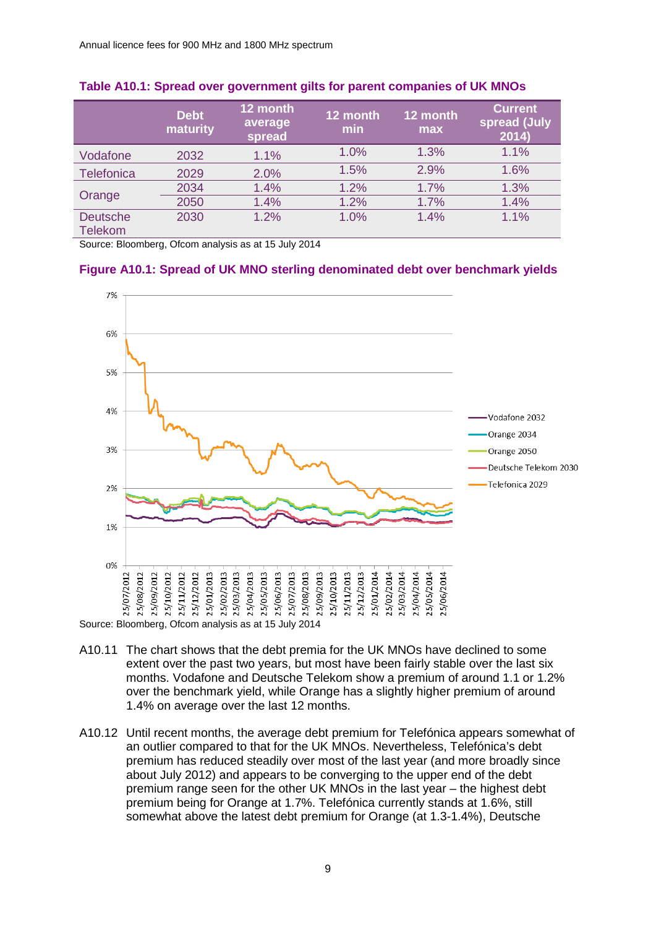|                                   | <b>Debt</b><br>maturity | 12 month<br>average<br>spread | 12 month<br>min | 12 month<br>max | <b>Current</b><br>spread (July<br>2014) |
|-----------------------------------|-------------------------|-------------------------------|-----------------|-----------------|-----------------------------------------|
| Vodafone                          | 2032                    | 1.1%                          | 1.0%            | 1.3%            | 1.1%                                    |
| Telefonica                        | 2029                    | 2.0%                          | 1.5%            | 2.9%            | 1.6%                                    |
| Orange                            | 2034                    | 1.4%                          | 1.2%            | 1.7%            | 1.3%                                    |
|                                   | 2050                    | 1.4%                          | 1.2%            | 1.7%            | 1.4%                                    |
| <b>Deutsche</b><br><b>Telekom</b> | 2030                    | 1.2%                          | 1.0%            | 1.4%            | 1.1%                                    |

#### <span id="page-8-0"></span>**Table A10.1: Spread over government gilts for parent companies of UK MNOs**

Source: Bloomberg, Ofcom analysis as at 15 July 2014

### <span id="page-8-1"></span>**Figure A10.1: Spread of UK MNO sterling denominated debt over benchmark yields**



- A10.11 The chart shows that the debt premia for the UK MNOs have declined to some extent over the past two years, but most have been fairly stable over the last six months. Vodafone and Deutsche Telekom show a premium of around 1.1 or 1.2% over the benchmark yield, while Orange has a slightly higher premium of around 1.4% on average over the last 12 months.
- A10.12 Until recent months, the average debt premium for Telefónica appears somewhat of an outlier compared to that for the UK MNOs. Nevertheless, Telefónica's debt premium has reduced steadily over most of the last year (and more broadly since about July 2012) and appears to be converging to the upper end of the debt premium range seen for the other UK MNOs in the last year – the highest debt premium being for Orange at 1.7%. Telefónica currently stands at 1.6%, still somewhat above the latest debt premium for Orange (at 1.3-1.4%), Deutsche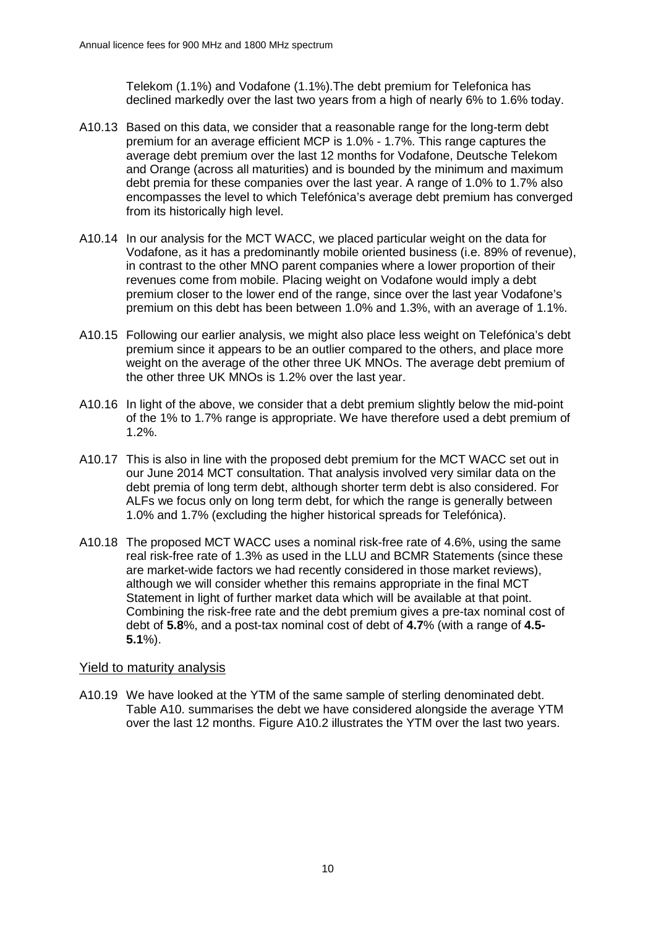Telekom (1.1%) and Vodafone (1.1%).The debt premium for Telefonica has declined markedly over the last two years from a high of nearly 6% to 1.6% today.

- A10.13 Based on this data, we consider that a reasonable range for the long-term debt premium for an average efficient MCP is 1.0% - 1.7%. This range captures the average debt premium over the last 12 months for Vodafone, Deutsche Telekom and Orange (across all maturities) and is bounded by the minimum and maximum debt premia for these companies over the last year. A range of 1.0% to 1.7% also encompasses the level to which Telefónica's average debt premium has converged from its historically high level.
- <span id="page-9-0"></span>A10.14 In our analysis for the MCT WACC, we placed particular weight on the data for Vodafone, as it has a predominantly mobile oriented business (i.e. 89% of revenue), in contrast to the other MNO parent companies where a lower proportion of their revenues come from mobile. Placing weight on Vodafone would imply a debt premium closer to the lower end of the range, since over the last year Vodafone's premium on this debt has been between 1.0% and 1.3%, with an average of 1.1%.
- A10.15 Following our earlier analysis, we might also place less weight on Telefónica's debt premium since it appears to be an outlier compared to the others, and place more weight on the average of the other three UK MNOs. The average debt premium of the other three UK MNOs is 1.2% over the last year.
- A10.16 In light of the above, we consider that a debt premium slightly below the mid-point of the 1% to 1.7% range is appropriate. We have therefore used a debt premium of 1.2%.
- A10.17 This is also in line with the proposed debt premium for the MCT WACC set out in our June 2014 MCT consultation. That analysis involved very similar data on the debt premia of long term debt, although shorter term debt is also considered. For ALFs we focus only on long term debt, for which the range is generally between 1.0% and 1.7% (excluding the higher historical spreads for Telefónica).
- A10.18 The proposed MCT WACC uses a nominal risk-free rate of 4.6%, using the same real risk-free rate of 1.3% as used in the LLU and BCMR Statements (since these are market-wide factors we had recently considered in those market reviews), although we will consider whether this remains appropriate in the final MCT Statement in light of further market data which will be available at that point. Combining the risk-free rate and the debt premium gives a pre-tax nominal cost of debt of **5.8**%, and a post-tax nominal cost of debt of **4.7**% (with a range of **4.5- 5.1**%).

## Yield to maturity analysis

A10.19 We have looked at the YTM of the same sample of sterling denominated debt. [Table A10.](#page-10-0) summarises the debt we have considered alongside the average YTM over the last 12 months. [Figure A10.2](#page-10-1) illustrates the YTM over the last two vears.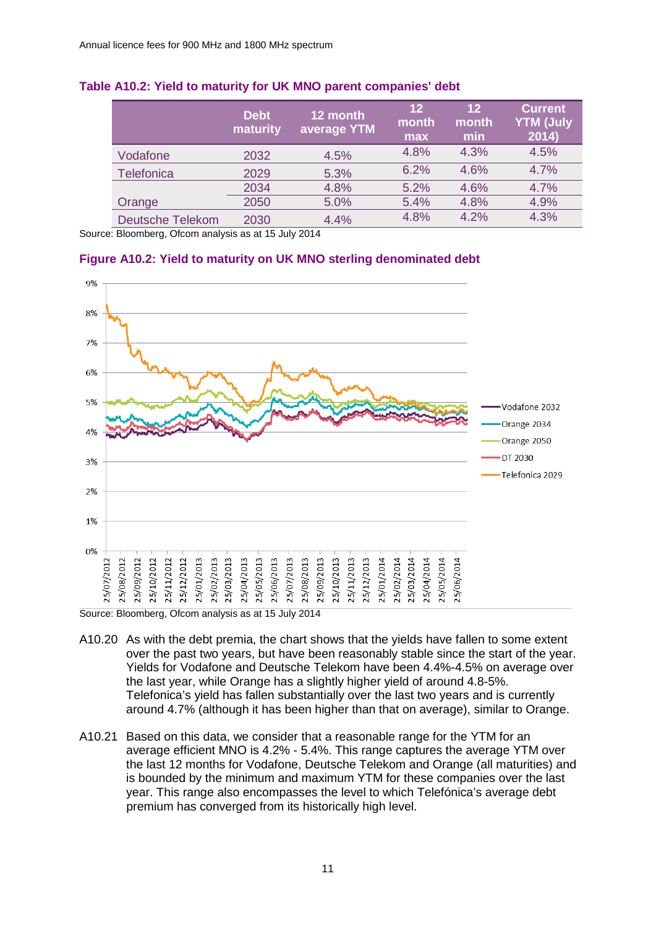|                         | <b>Debt</b><br>maturity | 12 month<br>average YTM | $12 \overline{ }$<br>month<br>max | $12 \overline{ }$<br>month<br>min | <b>Current</b><br><b>YTM (July</b><br>2014) |
|-------------------------|-------------------------|-------------------------|-----------------------------------|-----------------------------------|---------------------------------------------|
| Vodafone                | 2032                    | 4.5%                    | 4.8%                              | 4.3%                              | 4.5%                                        |
| <b>Telefonica</b>       | 2029                    | 5.3%                    | 6.2%                              | 4.6%                              | 4.7%                                        |
|                         | 2034                    | 4.8%                    | 5.2%                              | 4.6%                              | 4.7%                                        |
| Orange                  | 2050                    | 5.0%                    | 5.4%                              | 4.8%                              | 4.9%                                        |
| <b>Deutsche Telekom</b> | 2030                    | 4.4%                    | 4.8%                              | 4.2%                              | 4.3%                                        |

### <span id="page-10-0"></span>**Table A10.2: Yield to maturity for UK MNO parent companies' debt**

Source: Bloomberg, Ofcom analysis as at 15 July 2014

#### <span id="page-10-1"></span>**Figure A10.2: Yield to maturity on UK MNO sterling denominated debt**



Source: Bloomberg, Ofcom analysis as at 15 July 2014

- A10.20 As with the debt premia, the chart shows that the yields have fallen to some extent over the past two years, but have been reasonably stable since the start of the year. Yields for Vodafone and Deutsche Telekom have been 4.4%-4.5% on average over the last year, while Orange has a slightly higher yield of around 4.8-5%. Telefonica's yield has fallen substantially over the last two years and is currently around 4.7% (although it has been higher than that on average), similar to Orange.
- A10.21 Based on this data, we consider that a reasonable range for the YTM for an average efficient MNO is 4.2% - 5.4%. This range captures the average YTM over the last 12 months for Vodafone, Deutsche Telekom and Orange (all maturities) and is bounded by the minimum and maximum YTM for these companies over the last year. This range also encompasses the level to which Telefónica's average debt premium has converged from its historically high level.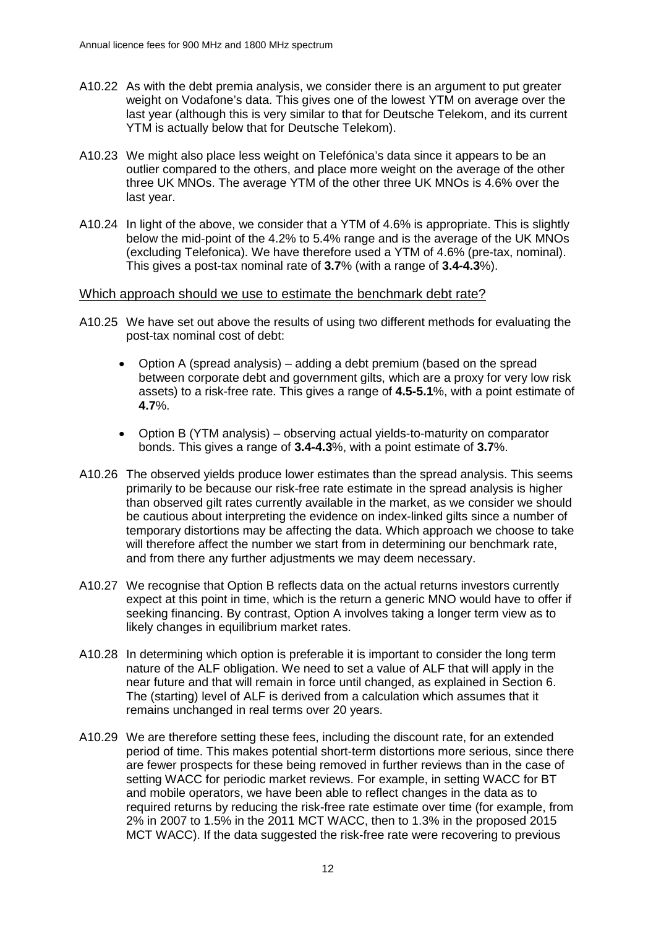- A10.22 As with the debt premia analysis, we consider there is an argument to put greater weight on Vodafone's data. This gives one of the lowest YTM on average over the last year (although this is very similar to that for Deutsche Telekom, and its current YTM is actually below that for Deutsche Telekom).
- A10.23 We might also place less weight on Telefónica's data since it appears to be an outlier compared to the others, and place more weight on the average of the other three UK MNOs. The average YTM of the other three UK MNOs is 4.6% over the last year.
- A10.24 In light of the above, we consider that a YTM of 4.6% is appropriate. This is slightly below the mid-point of the 4.2% to 5.4% range and is the average of the UK MNOs (excluding Telefonica). We have therefore used a YTM of 4.6% (pre-tax, nominal). This gives a post-tax nominal rate of **3.7**% (with a range of **3.4-4.3**%).

#### Which approach should we use to estimate the benchmark debt rate?

- <span id="page-11-0"></span>A10.25 We have set out above the results of using two different methods for evaluating the post-tax nominal cost of debt:
	- Option A (spread analysis) adding a debt premium (based on the spread between corporate debt and government gilts, which are a proxy for very low risk assets) to a risk-free rate. This gives a range of **4.5-5.1**%, with a point estimate of **4.7**%.
	- Option B (YTM analysis) observing actual yields-to-maturity on comparator bonds. This gives a range of **3.4-4.3**%, with a point estimate of **3.7**%.
- A10.26 The observed yields produce lower estimates than the spread analysis. This seems primarily to be because our risk-free rate estimate in the spread analysis is higher than observed gilt rates currently available in the market, as we consider we should be cautious about interpreting the evidence on index-linked gilts since a number of temporary distortions may be affecting the data. Which approach we choose to take will therefore affect the number we start from in determining our benchmark rate, and from there any further adjustments we may deem necessary.
- A10.27 We recognise that Option B reflects data on the actual returns investors currently expect at this point in time, which is the return a generic MNO would have to offer if seeking financing. By contrast, Option A involves taking a longer term view as to likely changes in equilibrium market rates.
- A10.28 In determining which option is preferable it is important to consider the long term nature of the ALF obligation. We need to set a value of ALF that will apply in the near future and that will remain in force until changed, as explained in Section 6. The (starting) level of ALF is derived from a calculation which assumes that it remains unchanged in real terms over 20 years.
- A10.29 We are therefore setting these fees, including the discount rate, for an extended period of time. This makes potential short-term distortions more serious, since there are fewer prospects for these being removed in further reviews than in the case of setting WACC for periodic market reviews. For example, in setting WACC for BT and mobile operators, we have been able to reflect changes in the data as to required returns by reducing the risk-free rate estimate over time (for example, from 2% in 2007 to 1.5% in the 2011 MCT WACC, then to 1.3% in the proposed 2015 MCT WACC). If the data suggested the risk-free rate were recovering to previous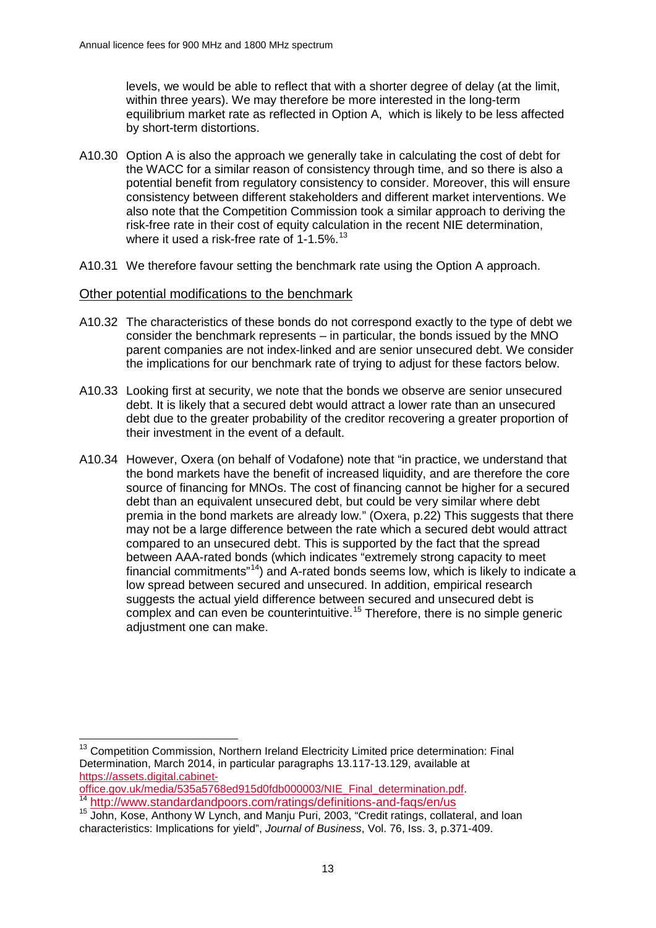levels, we would be able to reflect that with a shorter degree of delay (at the limit, within three years). We may therefore be more interested in the long-term equilibrium market rate as reflected in Option A, which is likely to be less affected by short-term distortions.

- A10.30 Option A is also the approach we generally take in calculating the cost of debt for the WACC for a similar reason of consistency through time, and so there is also a potential benefit from regulatory consistency to consider. Moreover, this will ensure consistency between different stakeholders and different market interventions. We also note that the Competition Commission took a similar approach to deriving the risk-free rate in their cost of equity calculation in the recent NIE determination, where it used a risk-free rate of  $1-1.5\%$ .<sup>[13](#page-12-0)</sup>
- <span id="page-12-3"></span>A10.31 We therefore favour setting the benchmark rate using the Option A approach.

### Other potential modifications to the benchmark

- A10.32 The characteristics of these bonds do not correspond exactly to the type of debt we consider the benchmark represents – in particular, the bonds issued by the MNO parent companies are not index-linked and are senior unsecured debt. We consider the implications for our benchmark rate of trying to adjust for these factors below.
- A10.33 Looking first at security, we note that the bonds we observe are senior unsecured debt. It is likely that a secured debt would attract a lower rate than an unsecured debt due to the greater probability of the creditor recovering a greater proportion of their investment in the event of a default.
- A10.34 However, Oxera (on behalf of Vodafone) note that "in practice, we understand that the bond markets have the benefit of increased liquidity, and are therefore the core source of financing for MNOs. The cost of financing cannot be higher for a secured debt than an equivalent unsecured debt, but could be very similar where debt premia in the bond markets are already low." (Oxera, p.22) This suggests that there may not be a large difference between the rate which a secured debt would attract compared to an unsecured debt. This is supported by the fact that the spread between AAA-rated bonds (which indicates "extremely strong capacity to meet financial commitments"<sup>[14](#page-12-1)</sup>) and A-rated bonds seems low, which is likely to indicate a low spread between secured and unsecured. In addition, empirical research suggests the actual yield difference between secured and unsecured debt is  $\frac{600}{200}$  complex and can even be counterintuitive.<sup>[15](#page-12-2)</sup> Therefore, there is no simple generic adjustment one can make.

```
https://assets.digital.cabinet-<br>office.gov.uk/media/535a5768ed915d0fdb000003/NIE_Final_determination.pdf.<br>14 http://www.standarday.dr
```
<span id="page-12-0"></span><sup>&</sup>lt;sup>13</sup> Competition Commission, Northern Ireland Electricity Limited price determination: Final Determination, March 2014, in particular paragraphs 13.117-13.129, available at  $\overline{a}$ 

<span id="page-12-2"></span><span id="page-12-1"></span><sup>&</sup>lt;sup>[14](https://assets.digital.cabinet-office.gov.uk/media/535a5768ed915d0fdb000003/NIE_Final_determination.pdf)</sup> <http://www.standardandpoors.com/ratings/definitions-and-faqs/en/us><br><sup>15</sup> John, Kose, Anthony W Lynch, and Manju Puri, 2003, "Credit ratings, collateral, and loan characteristics: Implications for yield", *Journal of Business*, Vol. 76, Iss. 3, p.371-409.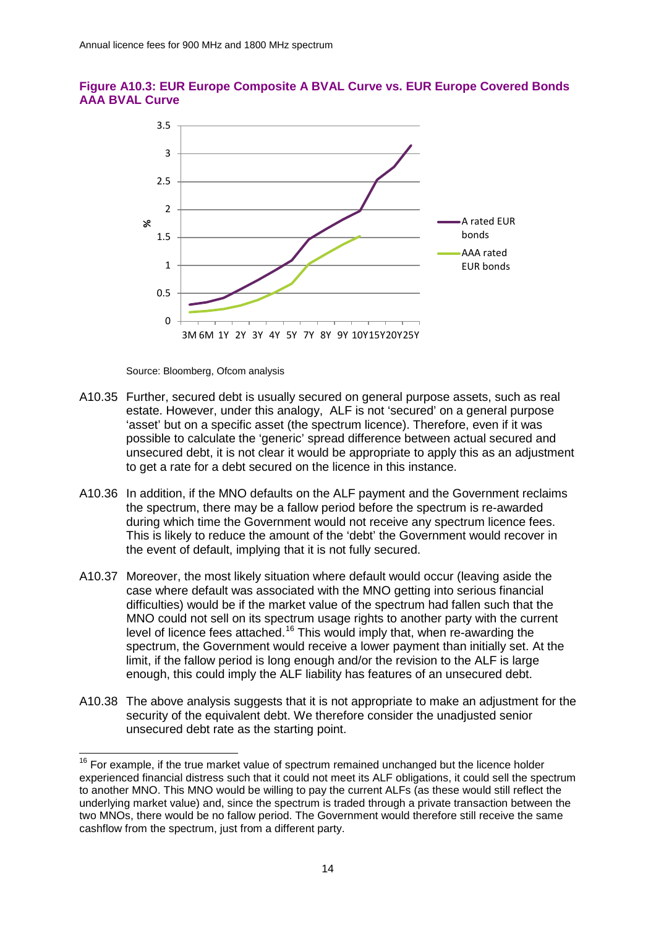



Source: Bloomberg, Ofcom analysis

 $\overline{a}$ 

- A10.35 Further, secured debt is usually secured on general purpose assets, such as real estate. However, under this analogy, ALF is not 'secured' on a general purpose 'asset' but on a specific asset (the spectrum licence). Therefore, even if it was possible to calculate the 'generic' spread difference between actual secured and unsecured debt, it is not clear it would be appropriate to apply this as an adjustment to get a rate for a debt secured on the licence in this instance.
- A10.36 In addition, if the MNO defaults on the ALF payment and the Government reclaims the spectrum, there may be a fallow period before the spectrum is re-awarded during which time the Government would not receive any spectrum licence fees. This is likely to reduce the amount of the 'debt' the Government would recover in the event of default, implying that it is not fully secured.
- A10.37 Moreover, the most likely situation where default would occur (leaving aside the case where default was associated with the MNO getting into serious financial difficulties) would be if the market value of the spectrum had fallen such that the MNO could not sell on its spectrum usage rights to another party with the current level of licence fees attached.<sup>[16](#page-13-0)</sup> This would imply that, when re-awarding the spectrum, the Government would receive a lower payment than initially set. At the limit, if the fallow period is long enough and/or the revision to the ALF is large enough, this could imply the ALF liability has features of an unsecured debt.
- A10.38 The above analysis suggests that it is not appropriate to make an adjustment for the security of the equivalent debt. We therefore consider the unadjusted senior unsecured debt rate as the starting point.

<span id="page-13-0"></span> $16$  For example, if the true market value of spectrum remained unchanged but the licence holder experienced financial distress such that it could not meet its ALF obligations, it could sell the spectrum to another MNO. This MNO would be willing to pay the current ALFs (as these would still reflect the underlying market value) and, since the spectrum is traded through a private transaction between the two MNOs, there would be no fallow period. The Government would therefore still receive the same cashflow from the spectrum, just from a different party.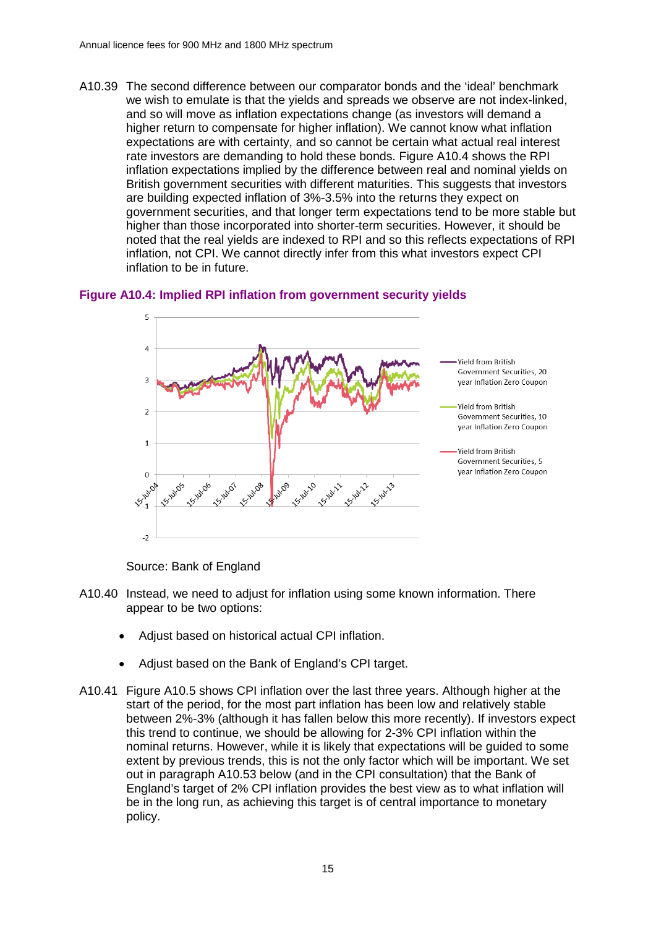A10.39 The second difference between our comparator bonds and the 'ideal' benchmark we wish to emulate is that the yields and spreads we observe are not index-linked, and so will move as inflation expectations change (as investors will demand a higher return to compensate for higher inflation). We cannot know what inflation expectations are with certainty, and so cannot be certain what actual real interest rate investors are demanding to hold these bonds. [Figure A10.4](#page-14-0) shows the RPI inflation expectations implied by the difference between real and nominal yields on British government securities with different maturities. This suggests that investors are building expected inflation of 3%-3.5% into the returns they expect on government securities, and that longer term expectations tend to be more stable but higher than those incorporated into shorter-term securities. However, it should be noted that the real yields are indexed to RPI and so this reflects expectations of RPI inflation, not CPI. We cannot directly infer from this what investors expect CPI inflation to be in future.

### <span id="page-14-0"></span>**Figure A10.4: Implied RPI inflation from government security yields**



Source: Bank of England

- A10.40 Instead, we need to adjust for inflation using some known information. There appear to be two options:
	- Adjust based on historical actual CPI inflation.
	- Adjust based on the Bank of England's CPI target.
- A10.41 [Figure A10.5](#page-15-0) shows CPI inflation over the last three years. Although higher at the start of the period, for the most part inflation has been low and relatively stable between 2%-3% (although it has fallen below this more recently). If investors expect this trend to continue, we should be allowing for 2-3% CPI inflation within the nominal returns. However, while it is likely that expectations will be guided to some extent by previous trends, this is not the only factor which will be important. We set out in paragraph [A10.53](#page-18-0) below (and in the CPI consultation) that the Bank of England's target of 2% CPI inflation provides the best view as to what inflation will be in the long run, as achieving this target is of central importance to monetary policy.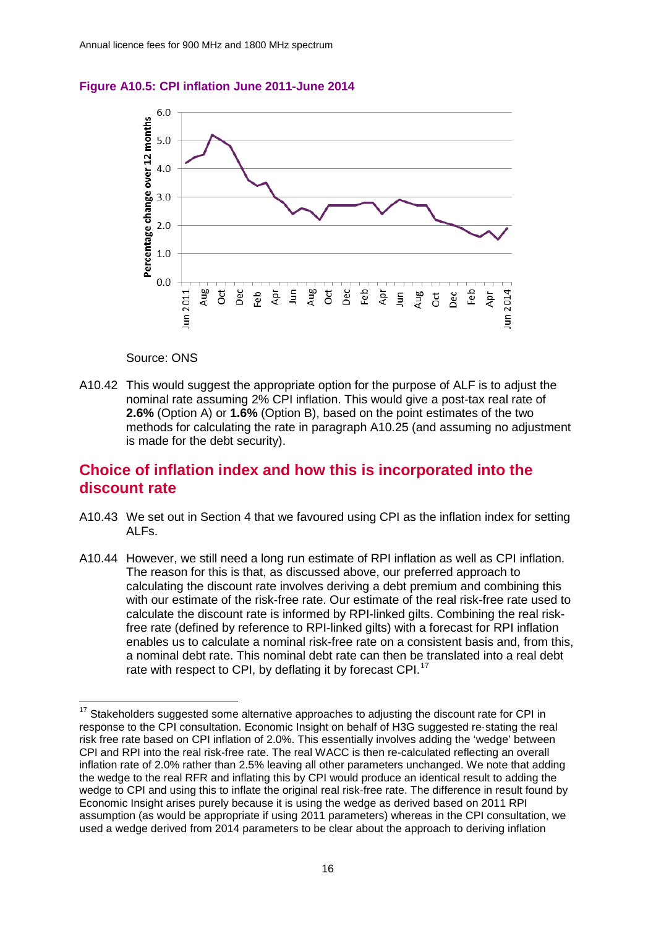<span id="page-15-0"></span>



#### Source: ONS

A10.42 This would suggest the appropriate option for the purpose of ALF is to adjust the nominal rate assuming 2% CPI inflation. This would give a post-tax real rate of **2.6%** (Option A) or **1.6%** (Option B), based on the point estimates of the two methods for calculating the rate in paragraph [A10.25](#page-11-0) (and assuming no adjustment is made for the debt security).

# **Choice of inflation index and how this is incorporated into the discount rate**

- A10.43 We set out in Section 4 that we favoured using CPI as the inflation index for setting ALFs.
- A10.44 However, we still need a long run estimate of RPI inflation as well as CPI inflation. The reason for this is that, as discussed above, our preferred approach to calculating the discount rate involves deriving a debt premium and combining this with our estimate of the risk-free rate. Our estimate of the real risk-free rate used to calculate the discount rate is informed by RPI-linked gilts. Combining the real riskfree rate (defined by reference to RPI-linked gilts) with a forecast for RPI inflation enables us to calculate a nominal risk-free rate on a consistent basis and, from this, a nominal debt rate. This nominal debt rate can then be translated into a real debt rate with respect to CPI, by deflating it by forecast CPI.<sup>[17](#page-15-1)</sup>

<span id="page-15-1"></span>Stakeholders suggested some alternative approaches to adjusting the discount rate for CPI in response to the CPI consultation. Economic Insight on behalf of H3G suggested re-stating the real risk free rate based on CPI inflation of 2.0%. This essentially involves adding the 'wedge' between CPI and RPI into the real risk-free rate. The real WACC is then re-calculated reflecting an overall inflation rate of 2.0% rather than 2.5% leaving all other parameters unchanged. We note that adding the wedge to the real RFR and inflating this by CPI would produce an identical result to adding the wedge to CPI and using this to inflate the original real risk-free rate. The difference in result found by Economic Insight arises purely because it is using the wedge as derived based on 2011 RPI assumption (as would be appropriate if using 2011 parameters) whereas in the CPI consultation, we used a wedge derived from 2014 parameters to be clear about the approach to deriving inflation  $\overline{a}$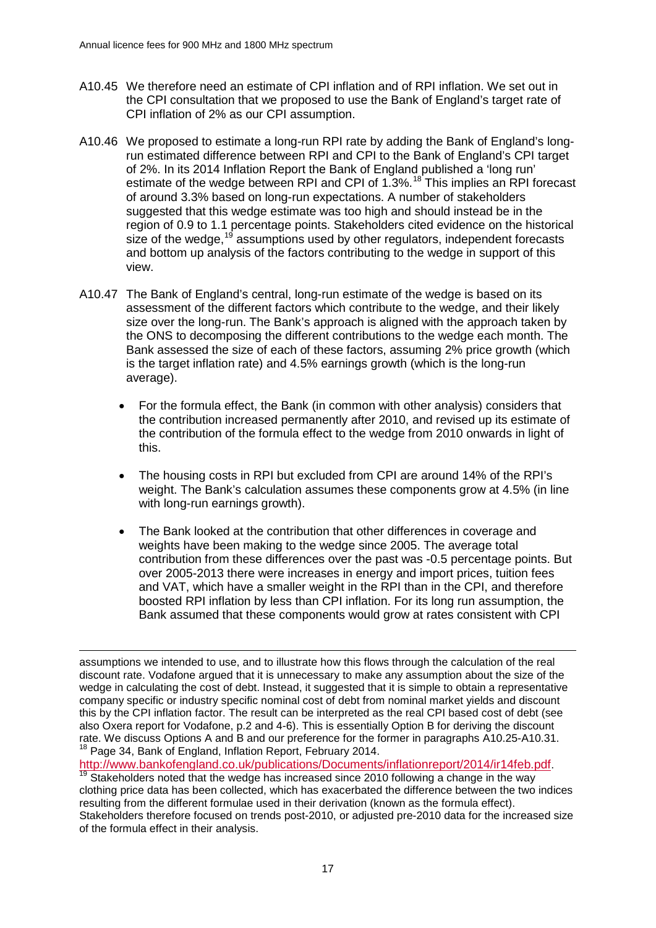- A10.45 We therefore need an estimate of CPI inflation and of RPI inflation. We set out in the CPI consultation that we proposed to use the Bank of England's target rate of CPI inflation of 2% as our CPI assumption.
- A10.46 We proposed to estimate a long-run RPI rate by adding the Bank of England's longrun estimated difference between RPI and CPI to the Bank of England's CPI target of 2%. In its 2014 Inflation Report the Bank of England published a 'long run' estimate of the wedge between RPI and CPI of 1.3%.<sup>[18](#page-16-0)</sup> This implies an RPI forecast of around 3.3% based on long-run expectations. A number of stakeholders suggested that this wedge estimate was too high and should instead be in the region of 0.9 to 1.1 percentage points. Stakeholders cited evidence on the historical size of the wedge,  $19$  assumptions used by other regulators, independent forecasts and bottom up analysis of the factors contributing to the wedge in support of this view.
- A10.47 The Bank of England's central, long-run estimate of the wedge is based on its assessment of the different factors which contribute to the wedge, and their likely size over the long-run. The Bank's approach is aligned with the approach taken by the ONS to decomposing the different contributions to the wedge each month. The Bank assessed the size of each of these factors, assuming 2% price growth (which is the target inflation rate) and 4.5% earnings growth (which is the long-run average).
	- For the formula effect, the Bank (in common with other analysis) considers that the contribution increased permanently after 2010, and revised up its estimate of the contribution of the formula effect to the wedge from 2010 onwards in light of this.
	- The housing costs in RPI but excluded from CPI are around 14% of the RPI's weight. The Bank's calculation assumes these components grow at 4.5% (in line with long-run earnings growth).
	- The Bank looked at the contribution that other differences in coverage and weights have been making to the wedge since 2005. The average total contribution from these differences over the past was -0.5 percentage points. But over 2005-2013 there were increases in energy and import prices, tuition fees and VAT, which have a smaller weight in the RPI than in the CPI, and therefore boosted RPI inflation by less than CPI inflation. For its long run assumption, the Bank assumed that these components would grow at rates consistent with CPI

assumptions we intended to use, and to illustrate how this flows through the calculation of the real discount rate. Vodafone argued that it is unnecessary to make any assumption about the size of the wedge in calculating the cost of debt. Instead, it suggested that it is simple to obtain a representative company specific or industry specific nominal cost of debt from nominal market yields and discount this by the CPI inflation factor. The result can be interpreted as the real CPI based cost of debt (see also Oxera report for Vodafone, p.2 and 4-6). This is essentially Option B for deriving the discount rate. We discuss Options A and B and our preference for the former in paragraphs [A10.25](#page-11-0)[-A10.31.](#page-12-3)<br><sup>18</sup> Page 34, Bank of England, Inflation Report, February 2014. -

<span id="page-16-1"></span><span id="page-16-0"></span>[http://www.bankofengland.co.uk/publications/Documents/inflationreport/2014/ir14feb.pdf.](http://www.bankofengland.co.uk/publications/Documents/inflationreport/2014/ir14feb.pdf) 19 Stakeholders noted that the wedge has increased since 2010 following a change in the way clothing price data has been collected, which has exacerbated the difference between the two indices resulting from the different formulae used in their derivation (known as the formula effect). Stakeholders therefore focused on trends post-2010, or adjusted pre-2010 data for the increased size of the formula effect in their analysis.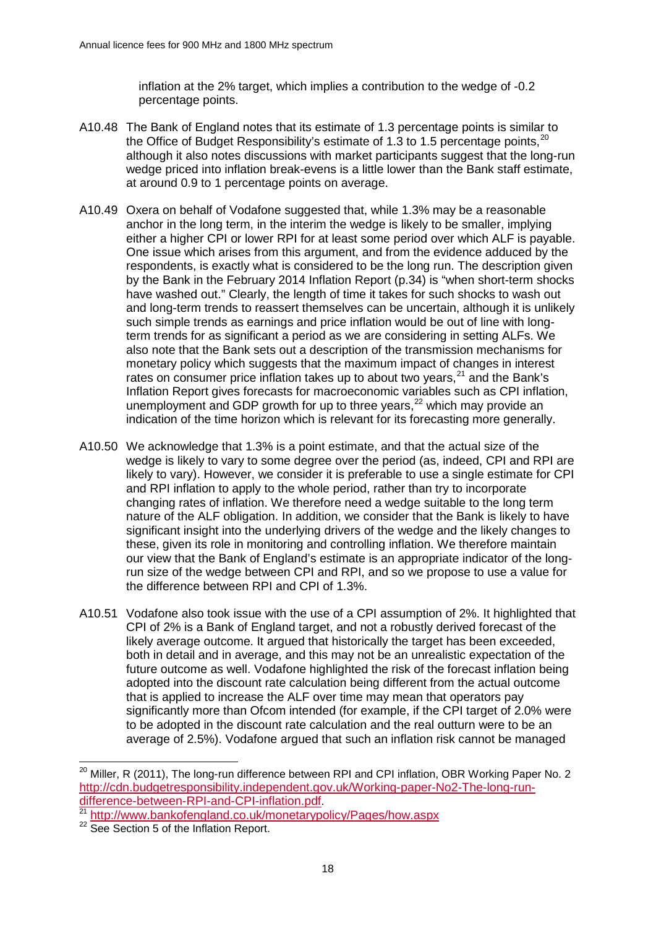inflation at the 2% target, which implies a contribution to the wedge of -0.2 percentage points.

- A10.48 The Bank of England notes that its estimate of 1.3 percentage points is similar to the Office of Budget Responsibility's estimate of 1.3 to 1.5 percentage points,<sup>[20](#page-17-0)</sup> although it also notes discussions with market participants suggest that the long-run wedge priced into inflation break-evens is a little lower than the Bank staff estimate, at around 0.9 to 1 percentage points on average.
- A10.49 Oxera on behalf of Vodafone suggested that, while 1.3% may be a reasonable anchor in the long term, in the interim the wedge is likely to be smaller, implying either a higher CPI or lower RPI for at least some period over which ALF is payable. One issue which arises from this argument, and from the evidence adduced by the respondents, is exactly what is considered to be the long run. The description given by the Bank in the February 2014 Inflation Report (p.34) is "when short-term shocks have washed out." Clearly, the length of time it takes for such shocks to wash out and long-term trends to reassert themselves can be uncertain, although it is unlikely such simple trends as earnings and price inflation would be out of line with longterm trends for as significant a period as we are considering in setting ALFs. We also note that the Bank sets out a description of the transmission mechanisms for monetary policy which suggests that the maximum impact of changes in interest rates on consumer price inflation takes up to about two years, $21$  and the Bank's Inflation Report gives forecasts for macroeconomic variables such as CPI inflation, unemployment and GDP growth for up to three years, $^{22}$  $^{22}$  $^{22}$  which may provide an indication of the time horizon which is relevant for its forecasting more generally.
- A10.50 We acknowledge that 1.3% is a point estimate, and that the actual size of the wedge is likely to vary to some degree over the period (as, indeed, CPI and RPI are likely to vary). However, we consider it is preferable to use a single estimate for CPI and RPI inflation to apply to the whole period, rather than try to incorporate changing rates of inflation. We therefore need a wedge suitable to the long term nature of the ALF obligation. In addition, we consider that the Bank is likely to have significant insight into the underlying drivers of the wedge and the likely changes to these, given its role in monitoring and controlling inflation. We therefore maintain our view that the Bank of England's estimate is an appropriate indicator of the longrun size of the wedge between CPI and RPI, and so we propose to use a value for the difference between RPI and CPI of 1.3%.
- A10.51 Vodafone also took issue with the use of a CPI assumption of 2%. It highlighted that CPI of 2% is a Bank of England target, and not a robustly derived forecast of the likely average outcome. It argued that historically the target has been exceeded, both in detail and in average, and this may not be an unrealistic expectation of the future outcome as well. Vodafone highlighted the risk of the forecast inflation being adopted into the discount rate calculation being different from the actual outcome that is applied to increase the ALF over time may mean that operators pay significantly more than Ofcom intended (for example, if the CPI target of 2.0% were to be adopted in the discount rate calculation and the real outturn were to be an average of 2.5%). Vodafone argued that such an inflation risk cannot be managed

<span id="page-17-0"></span> $^{20}$  Miller, R (2011), The long-run difference between RPI and CPI inflation, OBR Working Paper No. 2 [http://cdn.budgetresponsibility.independent.gov.uk/Working-paper-No2-The-long-run](http://cdn.budgetresponsibility.independent.gov.uk/Working-paper-No2-The-long-run-difference-between-RPI-and-CPI-inflation.pdf)[difference-between-RPI-and-CPI-inflation.pdf.](http://cdn.budgetresponsibility.independent.gov.uk/Working-paper-No2-The-long-run-difference-between-RPI-and-CPI-inflation.pdf)<br>
<sup>21</sup> <http://www.bankofengland.co.uk/monetarypolicy/Pages/how.aspx> <sup>22</sup> See Section 5 of the Inflation Report.  $\overline{a}$ 

<span id="page-17-1"></span>

<span id="page-17-2"></span>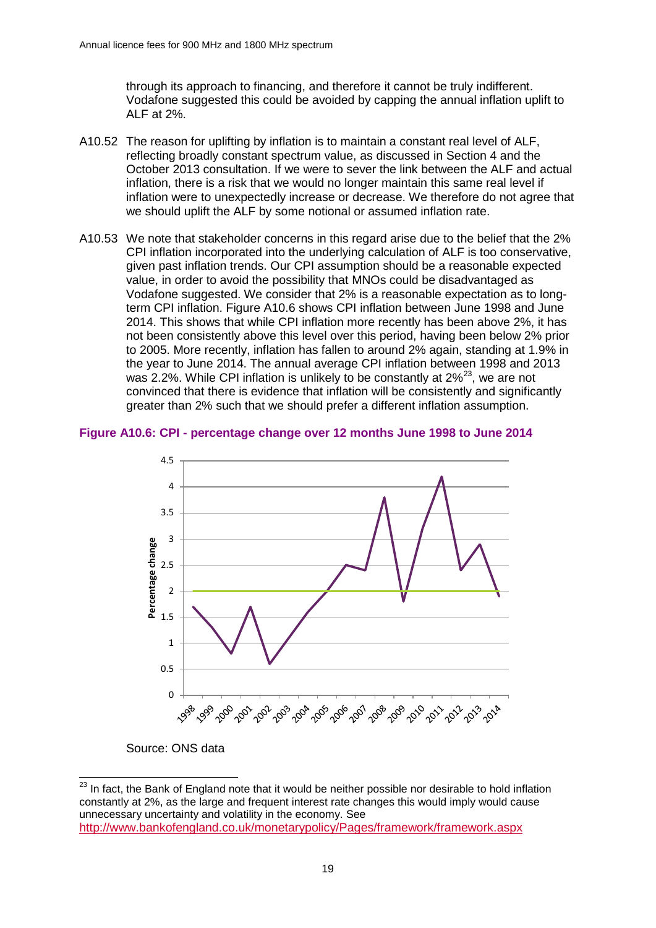through its approach to financing, and therefore it cannot be truly indifferent. Vodafone suggested this could be avoided by capping the annual inflation uplift to ALF at 2%.

- A10.52 The reason for uplifting by inflation is to maintain a constant real level of ALF, reflecting broadly constant spectrum value, as discussed in Section 4 and the October 2013 consultation. If we were to sever the link between the ALF and actual inflation, there is a risk that we would no longer maintain this same real level if inflation were to unexpectedly increase or decrease. We therefore do not agree that we should uplift the ALF by some notional or assumed inflation rate.
- <span id="page-18-0"></span>A10.53 We note that stakeholder concerns in this regard arise due to the belief that the 2% CPI inflation incorporated into the underlying calculation of ALF is too conservative, given past inflation trends. Our CPI assumption should be a reasonable expected value, in order to avoid the possibility that MNOs could be disadvantaged as Vodafone suggested. We consider that 2% is a reasonable expectation as to longterm CPI inflation. [Figure A10.6](#page-18-1) shows CPI inflation between June 1998 and June 2014. This shows that while CPI inflation more recently has been above 2%, it has not been consistently above this level over this period, having been below 2% prior to 2005. More recently, inflation has fallen to around 2% again, standing at 1.9% in the year to June 2014. The annual average CPI inflation between 1998 and 2013 was 2.2%. While CPI inflation is unlikely to be constantly at  $2\frac{23}{3}$ , we are not convinced that there is evidence that inflation will be consistently and significantly greater than 2% such that we should prefer a different inflation assumption.

### <span id="page-18-1"></span>**Figure A10.6: CPI - percentage change over 12 months June 1998 to June 2014**



Source: ONS data

<span id="page-18-2"></span> $^{23}$  In fact, the Bank of England note that it would be neither possible nor desirable to hold inflation constantly at 2%, as the large and frequent interest rate changes this would imply would cause unnecessary uncertainty and volatility in the economy. See <http://www.bankofengland.co.uk/monetarypolicy/Pages/framework/framework.aspx>  $\overline{a}$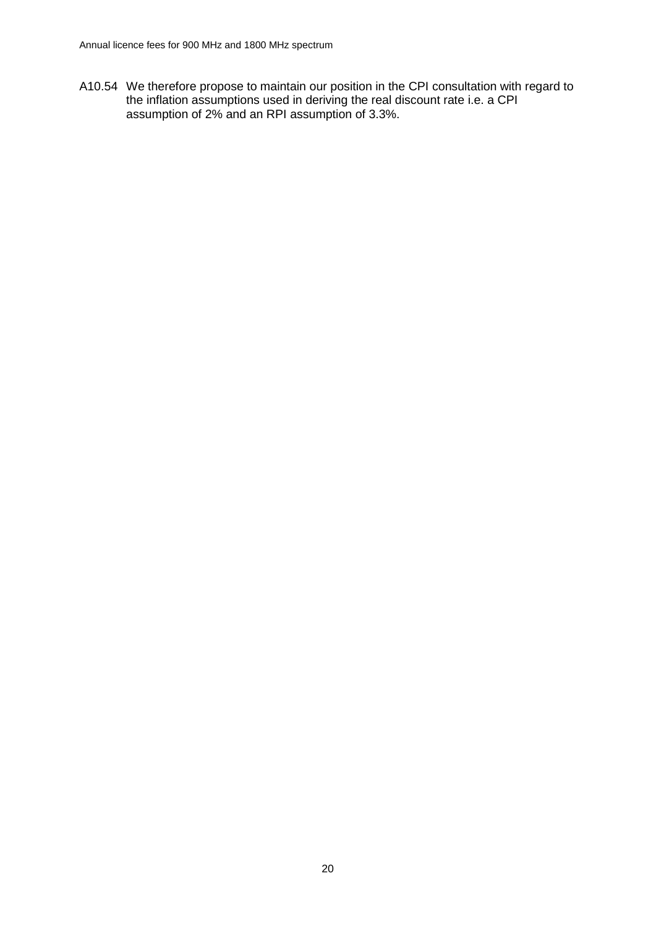A10.54 We therefore propose to maintain our position in the CPI consultation with regard to the inflation assumptions used in deriving the real discount rate i.e. a CPI assumption of 2% and an RPI assumption of 3.3%.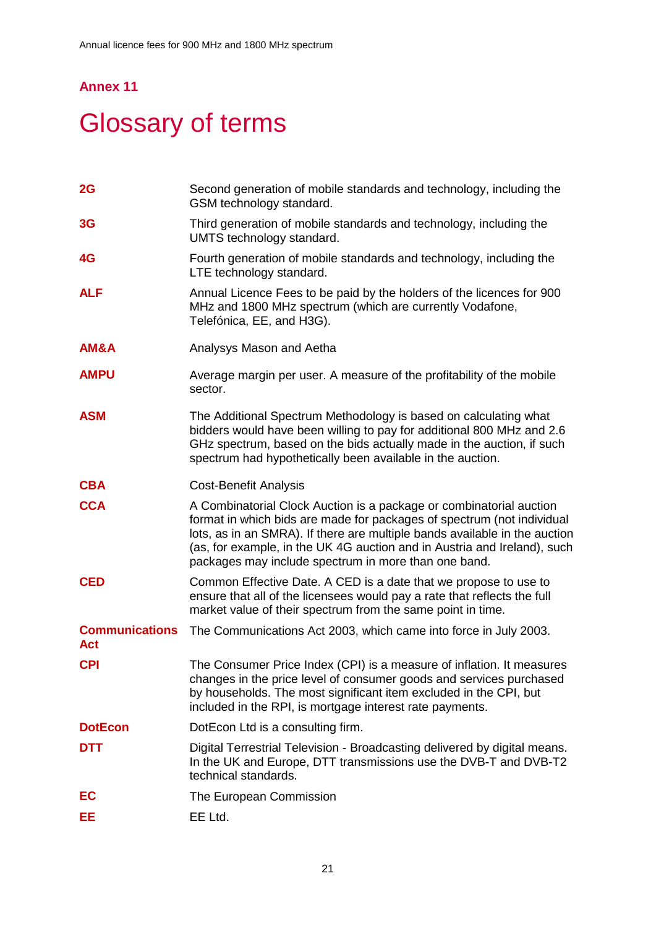# **Annex 11**

# **Glossary of terms**

| 2G                           | Second generation of mobile standards and technology, including the<br>GSM technology standard.                                                                                                                                                                                                                                                                 |
|------------------------------|-----------------------------------------------------------------------------------------------------------------------------------------------------------------------------------------------------------------------------------------------------------------------------------------------------------------------------------------------------------------|
| 3G                           | Third generation of mobile standards and technology, including the<br>UMTS technology standard.                                                                                                                                                                                                                                                                 |
| 4G                           | Fourth generation of mobile standards and technology, including the<br>LTE technology standard.                                                                                                                                                                                                                                                                 |
| <b>ALF</b>                   | Annual Licence Fees to be paid by the holders of the licences for 900<br>MHz and 1800 MHz spectrum (which are currently Vodafone,<br>Telefónica, EE, and H3G).                                                                                                                                                                                                  |
| <b>AM&amp;A</b>              | Analysys Mason and Aetha                                                                                                                                                                                                                                                                                                                                        |
| <b>AMPU</b>                  | Average margin per user. A measure of the profitability of the mobile<br>sector.                                                                                                                                                                                                                                                                                |
| <b>ASM</b>                   | The Additional Spectrum Methodology is based on calculating what<br>bidders would have been willing to pay for additional 800 MHz and 2.6<br>GHz spectrum, based on the bids actually made in the auction, if such<br>spectrum had hypothetically been available in the auction.                                                                                |
| <b>CBA</b>                   | <b>Cost-Benefit Analysis</b>                                                                                                                                                                                                                                                                                                                                    |
| <b>CCA</b>                   | A Combinatorial Clock Auction is a package or combinatorial auction<br>format in which bids are made for packages of spectrum (not individual<br>lots, as in an SMRA). If there are multiple bands available in the auction<br>(as, for example, in the UK 4G auction and in Austria and Ireland), such<br>packages may include spectrum in more than one band. |
| <b>CED</b>                   | Common Effective Date. A CED is a date that we propose to use to<br>ensure that all of the licensees would pay a rate that reflects the full<br>market value of their spectrum from the same point in time.                                                                                                                                                     |
| <b>Communications</b><br>Act | The Communications Act 2003, which came into force in July 2003.                                                                                                                                                                                                                                                                                                |
| <b>CPI</b>                   | The Consumer Price Index (CPI) is a measure of inflation. It measures<br>changes in the price level of consumer goods and services purchased<br>by households. The most significant item excluded in the CPI, but<br>included in the RPI, is mortgage interest rate payments.                                                                                   |
| <b>DotEcon</b>               | DotEcon Ltd is a consulting firm.                                                                                                                                                                                                                                                                                                                               |
| <b>DTT</b>                   | Digital Terrestrial Television - Broadcasting delivered by digital means.<br>In the UK and Europe, DTT transmissions use the DVB-T and DVB-T2<br>technical standards.                                                                                                                                                                                           |
| EC                           | The European Commission                                                                                                                                                                                                                                                                                                                                         |
| EЕ                           | EE Ltd.                                                                                                                                                                                                                                                                                                                                                         |
|                              |                                                                                                                                                                                                                                                                                                                                                                 |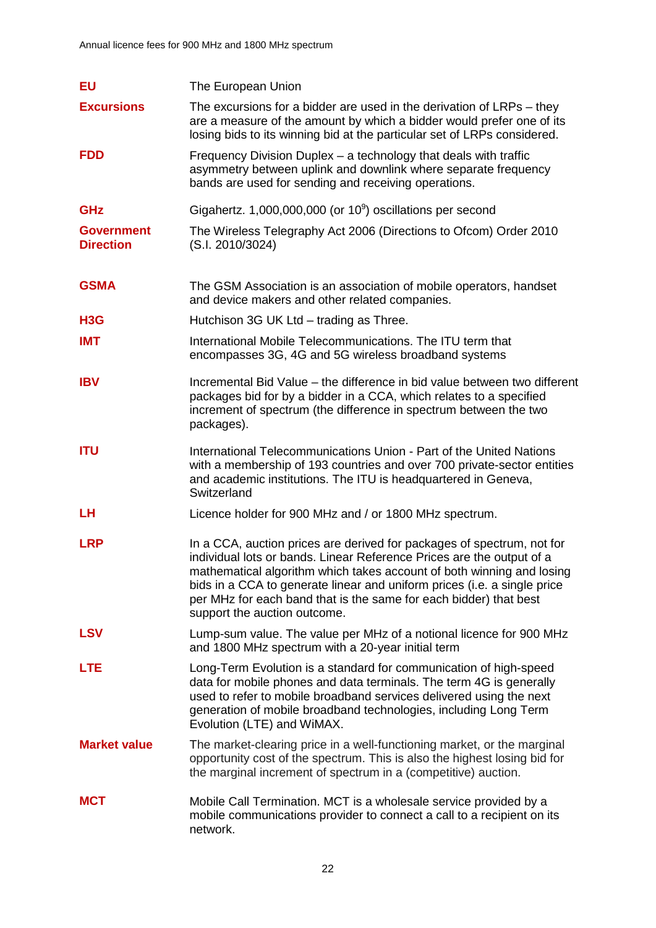| <b>EU</b>                             | The European Union                                                                                                                                                                                                                                                                                                                                                                                        |
|---------------------------------------|-----------------------------------------------------------------------------------------------------------------------------------------------------------------------------------------------------------------------------------------------------------------------------------------------------------------------------------------------------------------------------------------------------------|
| <b>Excursions</b>                     | The excursions for a bidder are used in the derivation of LRPs – they<br>are a measure of the amount by which a bidder would prefer one of its<br>losing bids to its winning bid at the particular set of LRPs considered.                                                                                                                                                                                |
| <b>FDD</b>                            | Frequency Division Duplex - a technology that deals with traffic<br>asymmetry between uplink and downlink where separate frequency<br>bands are used for sending and receiving operations.                                                                                                                                                                                                                |
| <b>GHz</b>                            | Gigahertz. 1,000,000,000 (or $10^9$ ) oscillations per second                                                                                                                                                                                                                                                                                                                                             |
| <b>Government</b><br><b>Direction</b> | The Wireless Telegraphy Act 2006 (Directions to Ofcom) Order 2010<br>(S.I. 2010/3024)                                                                                                                                                                                                                                                                                                                     |
| <b>GSMA</b>                           | The GSM Association is an association of mobile operators, handset<br>and device makers and other related companies.                                                                                                                                                                                                                                                                                      |
| H <sub>3</sub> G                      | Hutchison 3G UK Ltd - trading as Three.                                                                                                                                                                                                                                                                                                                                                                   |
| <b>IMT</b>                            | International Mobile Telecommunications. The ITU term that<br>encompasses 3G, 4G and 5G wireless broadband systems                                                                                                                                                                                                                                                                                        |
| <b>IBV</b>                            | Incremental Bid Value – the difference in bid value between two different<br>packages bid for by a bidder in a CCA, which relates to a specified<br>increment of spectrum (the difference in spectrum between the two<br>packages).                                                                                                                                                                       |
| <b>ITU</b>                            | International Telecommunications Union - Part of the United Nations<br>with a membership of 193 countries and over 700 private-sector entities<br>and academic institutions. The ITU is headquartered in Geneva,<br>Switzerland                                                                                                                                                                           |
| LH                                    | Licence holder for 900 MHz and / or 1800 MHz spectrum.                                                                                                                                                                                                                                                                                                                                                    |
| <b>LRP</b>                            | In a CCA, auction prices are derived for packages of spectrum, not for<br>individual lots or bands. Linear Reference Prices are the output of a<br>mathematical algorithm which takes account of both winning and losing<br>bids in a CCA to generate linear and uniform prices (i.e. a single price<br>per MHz for each band that is the same for each bidder) that best<br>support the auction outcome. |
| <b>LSV</b>                            | Lump-sum value. The value per MHz of a notional licence for 900 MHz<br>and 1800 MHz spectrum with a 20-year initial term                                                                                                                                                                                                                                                                                  |
| <b>LTE</b>                            | Long-Term Evolution is a standard for communication of high-speed<br>data for mobile phones and data terminals. The term 4G is generally<br>used to refer to mobile broadband services delivered using the next<br>generation of mobile broadband technologies, including Long Term<br>Evolution (LTE) and WiMAX.                                                                                         |
| <b>Market value</b>                   | The market-clearing price in a well-functioning market, or the marginal<br>opportunity cost of the spectrum. This is also the highest losing bid for<br>the marginal increment of spectrum in a (competitive) auction.                                                                                                                                                                                    |
| <b>MCT</b>                            | Mobile Call Termination. MCT is a wholesale service provided by a<br>mobile communications provider to connect a call to a recipient on its<br>network.                                                                                                                                                                                                                                                   |